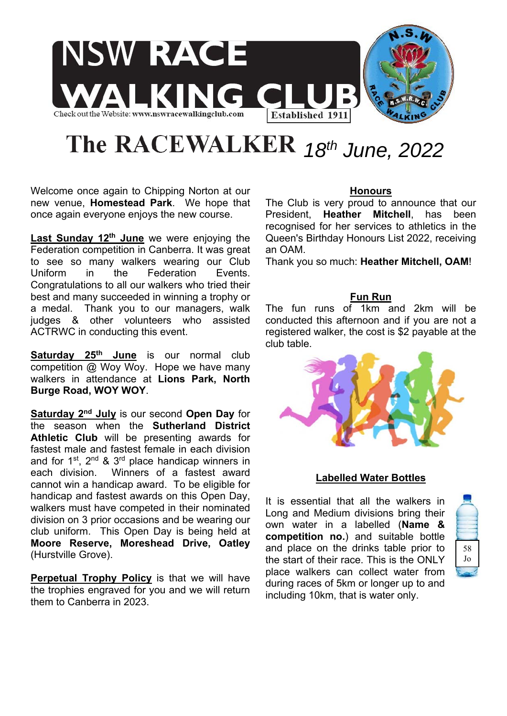

# The RACEWALKER 18th June, 2022

Welcome once again to Chipping Norton at our new venue, **Homestead Park**. We hope that once again everyone enjoys the new course.

**Last Sunday 12<sup>th</sup> June** we were enjoving the Federation competition in Canberra. It was great to see so many walkers wearing our Club Uniform in the Federation Events. Congratulations to all our walkers who tried their best and many succeeded in winning a trophy or a medal. Thank you to our managers, walk judges & other volunteers who assisted ACTRWC in conducting this event.

**Saturday 25th June** is our normal club competition @ Woy Woy. Hope we have many walkers in attendance at **Lions Park, North Burge Road, WOY WOY**.

**Saturday 2nd July** is our second **Open Day** for the season when the **Sutherland District Athletic Club** will be presenting awards for fastest male and fastest female in each division and for  $1^{st}$ ,  $2^{nd}$  &  $3^{rd}$  place handicap winners in each division. Winners of a fastest award cannot win a handicap award. To be eligible for handicap and fastest awards on this Open Day, walkers must have competed in their nominated division on 3 prior occasions and be wearing our club uniform. This Open Day is being held at **Moore Reserve, Moreshead Drive, Oatley** (Hurstville Grove).

**Perpetual Trophy Policy** is that we will have the trophies engraved for you and we will return them to Canberra in 2023.

# **Honours**

The Club is very proud to announce that our President, **Heather Mitchell**, has been recognised for her services to athletics in the Queen's Birthday Honours List 2022, receiving an OAM.

Thank you so much: **Heather Mitchell, OAM**!

# **Fun Run**

The fun runs of 1km and 2km will be conducted this afternoon and if you are not a registered walker, the cost is \$2 payable at the club table.



# **Labelled Water Bottles**

It is essential that all the walkers in Long and Medium divisions bring their own water in a labelled (**Name & competition no.**) and suitable bottle and place on the drinks table prior to the start of their race. This is the ONLY place walkers can collect water from during races of 5km or longer up to and including 10km, that is water only.